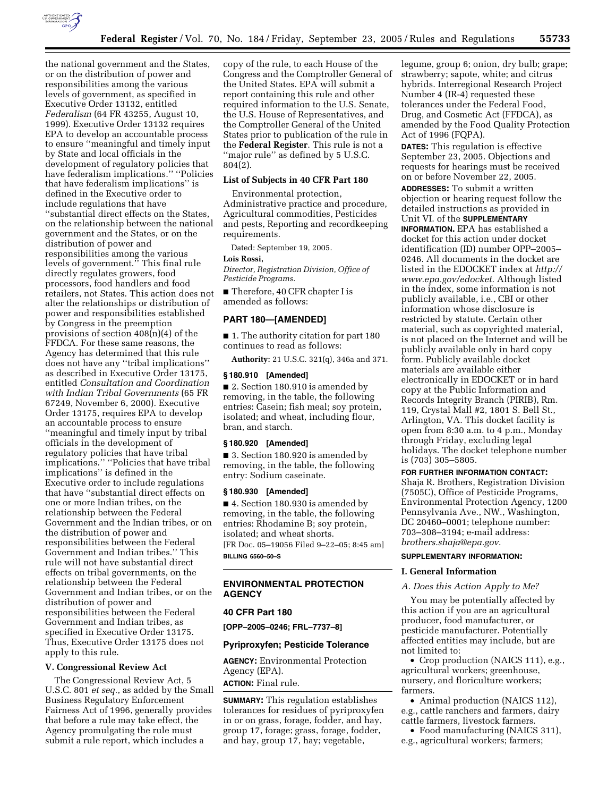

the national government and the States, or on the distribution of power and responsibilities among the various levels of government, as specified in Executive Order 13132, entitled *Federalism* (64 FR 43255, August 10, 1999). Executive Order 13132 requires EPA to develop an accountable process to ensure ''meaningful and timely input by State and local officials in the development of regulatory policies that have federalism implications.'' ''Policies that have federalism implications'' is defined in the Executive order to include regulations that have ''substantial direct effects on the States, on the relationship between the national government and the States, or on the distribution of power and responsibilities among the various levels of government.'' This final rule directly regulates growers, food processors, food handlers and food retailers, not States. This action does not alter the relationships or distribution of power and responsibilities established by Congress in the preemption provisions of section 408(n)(4) of the FFDCA. For these same reasons, the Agency has determined that this rule does not have any ''tribal implications'' as described in Executive Order 13175, entitled *Consultation and Coordination with Indian Tribal Governments* (65 FR 67249, November 6, 2000). Executive Order 13175, requires EPA to develop an accountable process to ensure ''meaningful and timely input by tribal officials in the development of regulatory policies that have tribal implications.'' ''Policies that have tribal implications'' is defined in the Executive order to include regulations that have ''substantial direct effects on one or more Indian tribes, on the relationship between the Federal Government and the Indian tribes, or on the distribution of power and responsibilities between the Federal Government and Indian tribes.'' This rule will not have substantial direct effects on tribal governments, on the relationship between the Federal Government and Indian tribes, or on the distribution of power and responsibilities between the Federal Government and Indian tribes, as specified in Executive Order 13175. Thus, Executive Order 13175 does not apply to this rule.

#### **V. Congressional Review Act**

The Congressional Review Act, 5 U.S.C. 801 *et seq.*, as added by the Small Business Regulatory Enforcement Fairness Act of 1996, generally provides that before a rule may take effect, the Agency promulgating the rule must submit a rule report, which includes a

copy of the rule, to each House of the Congress and the Comptroller General of the United States. EPA will submit a report containing this rule and other required information to the U.S. Senate, the U.S. House of Representatives, and the Comptroller General of the United States prior to publication of the rule in the **Federal Register**. This rule is not a ''major rule'' as defined by 5 U.S.C. 804(2).

# **List of Subjects in 40 CFR Part 180**

Environmental protection, Administrative practice and procedure, Agricultural commodities, Pesticides and pests, Reporting and recordkeeping requirements.

Dated: September 19, 2005. **Lois Rossi,** 

*Director, Registration Division, Office of Pesticide Programs.* 

■ Therefore, 40 CFR chapter I is amended as follows:

# **PART 180—[AMENDED]**

■ 1. The authority citation for part 180 continues to read as follows:

**Authority:** 21 U.S.C. 321(q), 346a and 371.

# **§ 180.910 [Amended]**

■ 2. Section 180.910 is amended by removing, in the table, the following entries: Casein; fish meal; soy protein, isolated; and wheat, including flour, bran, and starch.

# **§ 180.920 [Amended]**

■ 3. Section 180.920 is amended by removing, in the table, the following entry: Sodium caseinate.

#### **§ 180.930 [Amended]**

■ 4. Section 180.930 is amended by removing, in the table, the following entries: Rhodamine B; soy protein, isolated; and wheat shorts. [FR Doc. 05–19056 Filed 9–22–05; 8:45 am] **BILLING 6560–50–S** 

# **ENVIRONMENTAL PROTECTION AGENCY**

# **40 CFR Part 180**

**[OPP–2005–0246; FRL–7737–8]** 

#### **Pyriproxyfen; Pesticide Tolerance**

**AGENCY:** Environmental Protection Agency (EPA). **ACTION:** Final rule.

**SUMMARY:** This regulation establishes tolerances for residues of pyriproxyfen in or on grass, forage, fodder, and hay, group 17, forage; grass, forage, fodder, and hay, group 17, hay; vegetable,

legume, group 6; onion, dry bulb; grape; strawberry; sapote, white; and citrus hybrids. Interregional Research Project Number 4 (IR-4) requested these tolerances under the Federal Food, Drug, and Cosmetic Act (FFDCA), as amended by the Food Quality Protection Act of 1996 (FQPA).

**DATES:** This regulation is effective September 23, 2005. Objections and requests for hearings must be received on or before November 22, 2005.

**ADDRESSES:** To submit a written objection or hearing request follow the detailed instructions as provided in Unit VI. of the **SUPPLEMENTARY INFORMATION.** EPA has established a docket for this action under docket identification (ID) number OPP–2005– 0246. All documents in the docket are listed in the EDOCKET index at *http:// www.epa.gov/edocket.* Although listed in the index, some information is not publicly available, i.e., CBI or other information whose disclosure is restricted by statute. Certain other material, such as copyrighted material, is not placed on the Internet and will be publicly available only in hard copy form. Publicly available docket materials are available either electronically in EDOCKET or in hard copy at the Public Information and Records Integrity Branch (PIRIB), Rm. 119, Crystal Mall #2, 1801 S. Bell St., Arlington, VA. This docket facility is open from 8:30 a.m. to 4 p.m., Monday through Friday, excluding legal holidays. The docket telephone number is (703) 305–5805.

#### **FOR FURTHER INFORMATION CONTACT:**

Shaja R. Brothers, Registration Division (7505C), Office of Pesticide Programs, Environmental Protection Agency, 1200 Pennsylvania Ave., NW., Washington, DC 20460–0001; telephone number: 703–308–3194; e-mail address: *brothers.shaja@epa.gov*.

#### **SUPPLEMENTARY INFORMATION:**

#### **I. General Information**

### *A. Does this Action Apply to Me?*

You may be potentially affected by this action if you are an agricultural producer, food manufacturer, or pesticide manufacturer. Potentially affected entities may include, but are not limited to:

• Crop production (NAICS 111), e.g., agricultural workers; greenhouse, nursery, and floriculture workers; farmers.

• Animal production (NAICS 112), e.g., cattle ranchers and farmers, dairy cattle farmers, livestock farmers.

• Food manufacturing (NAICS 311), e.g., agricultural workers; farmers;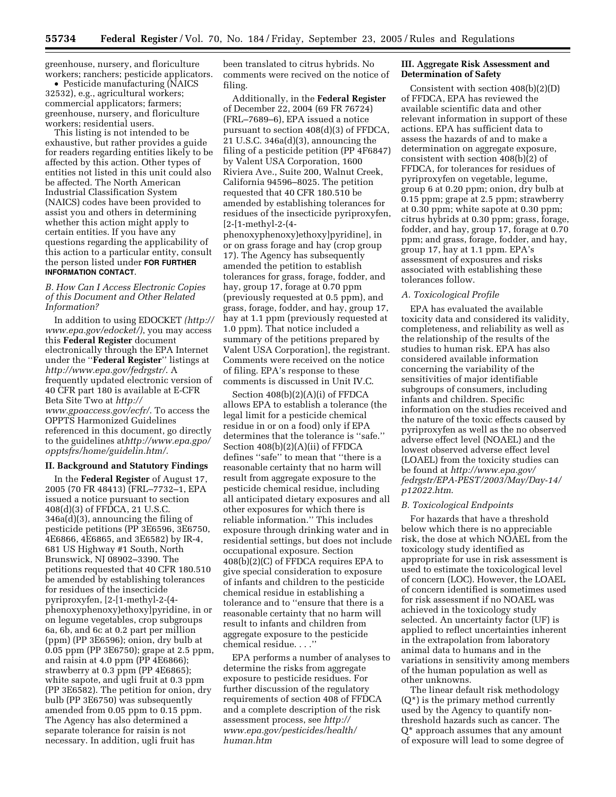greenhouse, nursery, and floriculture workers; ranchers; pesticide applicators.

• Pesticide manufacturing (NAICS 32532), e.g., agricultural workers; commercial applicators; farmers; greenhouse, nursery, and floriculture workers; residential users.

This listing is not intended to be exhaustive, but rather provides a guide for readers regarding entities likely to be affected by this action. Other types of entities not listed in this unit could also be affected. The North American Industrial Classification System (NAICS) codes have been provided to assist you and others in determining whether this action might apply to certain entities. If you have any questions regarding the applicability of this action to a particular entity, consult the person listed under **FOR FURTHER INFORMATION CONTACT**.

# *B. How Can I Access Electronic Copies of this Document and Other Related Information?*

In addition to using EDOCKET *(http:// www.epa.gov/edocket/)*, you may access this **Federal Register** document electronically through the EPA Internet under the ''**Federal Register**'' listings at *http://www.epa.gov/fedrgstr/*. A frequently updated electronic version of 40 CFR part 180 is available at E-CFR Beta Site Two at *http:// www.gpoaccess.gov/ecfr/*. To access the OPPTS Harmonized Guidelines referenced in this document, go directly to the guidelines at*http://www.epa.gpo/ opptsfrs/home/guidelin.htm/.* 

# **II. Background and Statutory Findings**

In the **Federal Register** of August 17, 2005 (70 FR 48413) (FRL–7732–1, EPA issued a notice pursuant to section 408(d)(3) of FFDCA, 21 U.S.C. 346a(d)(3), announcing the filing of pesticide petitions (PP 3E6596, 3E6750, 4E6866, 4E6865, and 3E6582) by IR-4, 681 US Highway #1 South, North Brunswick, NJ 08902–3390. The petitions requested that 40 CFR 180.510 be amended by establishing tolerances for residues of the insecticide pyriproxyfen, [2-[1-methyl-2-(4 phenoxyphenoxy)ethoxy]pyridine, in or on legume vegetables, crop subgroups 6a, 6b, and 6c at 0.2 part per million (ppm) (PP 3E6596); onion, dry bulb at 0.05 ppm (PP 3E6750); grape at 2.5 ppm, and raisin at 4.0 ppm (PP 4E6866); strawberry at 0.3 ppm (PP 4E6865); white sapote, and ugli fruit at 0.3 ppm (PP 3E6582). The petition for onion, dry bulb (PP 3E6750) was subsequently amended from 0.05 ppm to 0.15 ppm. The Agency has also determined a separate tolerance for raisin is not necessary. In addition, ugli fruit has

been translated to citrus hybrids. No comments were recived on the notice of filing.

Additionally, in the **Federal Register**  of December 22, 2004 (69 FR 76724) (FRL–7689–6), EPA issued a notice pursuant to section 408(d)(3) of FFDCA, 21 U.S.C. 346a(d)(3), announcing the filing of a pesticide petition (PP 4F6847) by Valent USA Corporation, 1600 Riviera Ave., Suite 200, Walnut Creek, California 94596–8025. The petition requested that 40 CFR 180.510 be amended by establishing tolerances for residues of the insecticide pyriproxyfen, [2-[1-methyl-2-(4-

phenoxyphenoxy)ethoxy]pyridine], in or on grass forage and hay (crop group 17). The Agency has subsequently amended the petition to establish tolerances for grass, forage, fodder, and hay, group 17, forage at 0.70 ppm (previously requested at 0.5 ppm), and grass, forage, fodder, and hay, group 17, hay at 1.1 ppm (previously requested at 1.0 ppm). That notice included a summary of the petitions prepared by Valent USA Corporation], the registrant. Comments were received on the notice of filing. EPA's response to these comments is discussed in Unit IV.C.

Section 408(b)(2)(A)(i) of FFDCA allows EPA to establish a tolerance (the legal limit for a pesticide chemical residue in or on a food) only if EPA determines that the tolerance is ''safe.'' Section 408(b)(2)(A)(ii) of FFDCA defines ''safe'' to mean that ''there is a reasonable certainty that no harm will result from aggregate exposure to the pesticide chemical residue, including all anticipated dietary exposures and all other exposures for which there is reliable information.'' This includes exposure through drinking water and in residential settings, but does not include occupational exposure. Section 408(b)(2)(C) of FFDCA requires EPA to give special consideration to exposure of infants and children to the pesticide chemical residue in establishing a tolerance and to ''ensure that there is a reasonable certainty that no harm will result to infants and children from aggregate exposure to the pesticide chemical residue. . . .''

EPA performs a number of analyses to determine the risks from aggregate exposure to pesticide residues. For further discussion of the regulatory requirements of section 408 of FFDCA and a complete description of the risk assessment process, see *http:// www.epa.gov/pesticides/health/ human.htm* 

# **III. Aggregate Risk Assessment and Determination of Safety**

Consistent with section 408(b)(2)(D) of FFDCA, EPA has reviewed the available scientific data and other relevant information in support of these actions. EPA has sufficient data to assess the hazards of and to make a determination on aggregate exposure, consistent with section  $408(b)(2)$  of FFDCA, for tolerances for residues of pyriproxyfen on vegetable, legume, group 6 at 0.20 ppm; onion, dry bulb at 0.15 ppm; grape at 2.5 ppm; strawberry at 0.30 ppm; white sapote at 0.30 ppm; citrus hybrids at 0.30 ppm; grass, forage, fodder, and hay, group 17, forage at 0.70 ppm; and grass, forage, fodder, and hay, group 17, hay at 1.1 ppm. EPA's assessment of exposures and risks associated with establishing these tolerances follow.

#### *A. Toxicological Profile*

EPA has evaluated the available toxicity data and considered its validity, completeness, and reliability as well as the relationship of the results of the studies to human risk. EPA has also considered available information concerning the variability of the sensitivities of major identifiable subgroups of consumers, including infants and children. Specific information on the studies received and the nature of the toxic effects caused by pyriproxyfen as well as the no observed adverse effect level (NOAEL) and the lowest observed adverse effect level (LOAEL) from the toxicity studies can be found at *http://www.epa.gov/ fedrgstr/EPA-PEST/2003/May/Day-14/ p12022.htm*.

#### *B. Toxicological Endpoints*

For hazards that have a threshold below which there is no appreciable risk, the dose at which NOAEL from the toxicology study identified as appropriate for use in risk assessment is used to estimate the toxicological level of concern (LOC). However, the LOAEL of concern identified is sometimes used for risk assessment if no NOAEL was achieved in the toxicology study selected. An uncertainty factor (UF) is applied to reflect uncertainties inherent in the extrapolation from laboratory animal data to humans and in the variations in sensitivity among members of the human population as well as other unknowns.

The linear default risk methodology  $(Q^*)$  is the primary method currently used by the Agency to quantify nonthreshold hazards such as cancer. The Q\* approach assumes that any amount of exposure will lead to some degree of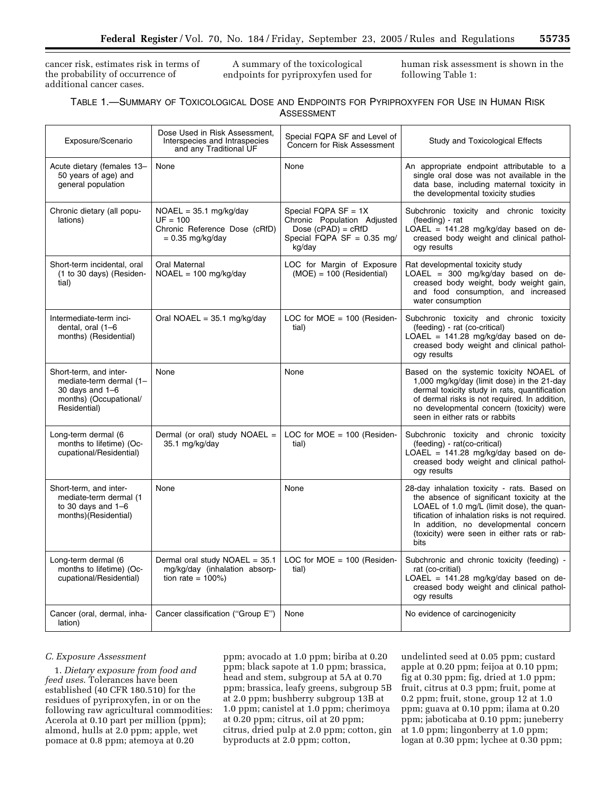cancer risk, estimates risk in terms of the probability of occurrence of additional cancer cases.

A summary of the toxicological endpoints for pyriproxyfen used for human risk assessment is shown in the following Table 1:

| TABLE 1.—SUMMARY OF TOXICOLOGICAL DOSE AND ENDPOINTS FOR PYRIPROXYFEN FOR USE IN HUMAN RISK |  |  |  |  |  |  |  |  |
|---------------------------------------------------------------------------------------------|--|--|--|--|--|--|--|--|
| ASSESSMENT                                                                                  |  |  |  |  |  |  |  |  |

| Exposure/Scenario                                                                                                | Dose Used in Risk Assessment,<br>Interspecies and Intraspecies<br>and any Traditional UF      | Special FQPA SF and Level of<br>Concern for Risk Assessment                                                                        | Study and Toxicological Effects                                                                                                                                                                                                                                                           |
|------------------------------------------------------------------------------------------------------------------|-----------------------------------------------------------------------------------------------|------------------------------------------------------------------------------------------------------------------------------------|-------------------------------------------------------------------------------------------------------------------------------------------------------------------------------------------------------------------------------------------------------------------------------------------|
| Acute dietary (females 13-<br>50 years of age) and<br>general population                                         | None                                                                                          | None                                                                                                                               | An appropriate endpoint attributable to a<br>single oral dose was not available in the<br>data base, including maternal toxicity in<br>the developmental toxicity studies                                                                                                                 |
| Chronic dietary (all popu-<br>lations)                                                                           | $NOAEL = 35.1 mg/kg/day$<br>$UF = 100$<br>Chronic Reference Dose (cRfD)<br>$= 0.35$ mg/kg/day | Special FQPA $SF = 1X$<br>Chronic Population Adjusted<br>Dose $(cPAD) = cRfD$<br>Special $\overline{FQPA}$ SF = 0.35 mg/<br>kg/day | Subchronic toxicity and chronic toxicity<br>(feeding) - rat<br>LOAEL = $141.28$ mg/kg/day based on de-<br>creased body weight and clinical pathol-<br>ogy results                                                                                                                         |
| Short-term incidental, oral<br>(1 to 30 days) (Residen-<br>tial)                                                 | Oral Maternal<br>$NOAEL = 100 mg/kg/day$                                                      | LOC for Margin of Exposure<br>$(MOE) = 100$ (Residential)                                                                          | Rat developmental toxicity study<br>LOAEL = $300$ mg/kg/day based on de-<br>creased body weight, body weight gain,<br>and food consumption, and increased<br>water consumption                                                                                                            |
| Intermediate-term inci-<br>dental, oral (1-6<br>months) (Residential)                                            | Oral NOAEL = $35.1 \text{ mg/kg/day}$                                                         | LOC for $MOE = 100$ (Residen-<br>tial)                                                                                             | Subchronic toxicity and chronic toxicity<br>(feeding) - rat (co-critical)<br>$LOAEL = 141.28$ mg/kg/day based on de-<br>creased body weight and clinical pathol-<br>ogy results                                                                                                           |
| Short-term, and inter-<br>mediate-term dermal (1-<br>30 days and $1-6$<br>months) (Occupational/<br>Residential) | None                                                                                          | None                                                                                                                               | Based on the systemic toxicity NOAEL of<br>1,000 mg/kg/day (limit dose) in the 21-day<br>dermal toxicity study in rats, quantification<br>of dermal risks is not required. In addition,<br>no developmental concern (toxicity) were<br>seen in either rats or rabbits                     |
| Long-term dermal (6<br>months to lifetime) (Oc-<br>cupational/Residential)                                       | Dermal (or oral) study NOAEL =<br>35.1 mg/kg/day                                              | LOC for $MOE = 100$ (Residen-<br>tial)                                                                                             | Subchronic toxicity and chronic toxicity<br>(feeding) - rat(co-critical)<br>LOAEL = 141.28 mg/kg/day based on de-<br>creased body weight and clinical pathol-<br>ogy results                                                                                                              |
| Short-term, and inter-<br>mediate-term dermal (1<br>to 30 days and $1-6$<br>months)(Residential)                 | None                                                                                          | None                                                                                                                               | 28-day inhalation toxicity - rats. Based on<br>the absence of significant toxicity at the<br>LOAEL of 1.0 mg/L (limit dose), the quan-<br>tification of inhalation risks is not required.<br>In addition, no developmental concern<br>(toxicity) were seen in either rats or rab-<br>bits |
| Long-term dermal (6<br>months to lifetime) (Oc-<br>cupational/Residential)                                       | Dermal oral study NOAEL = 35.1<br>mg/kg/day (inhalation absorp-<br>tion rate = $100\%$ )      | LOC for $MOE = 100$ (Residen-<br>tial)                                                                                             | Subchronic and chronic toxicity (feeding) -<br>rat (co-critial)<br>LOAEL = $141.28$ mg/kg/day based on de-<br>creased body weight and clinical pathol-<br>ogy results                                                                                                                     |
| Cancer (oral, dermal, inha-<br>lation)                                                                           | Cancer classification ("Group E")                                                             | None                                                                                                                               | No evidence of carcinogenicity                                                                                                                                                                                                                                                            |

# *C. Exposure Assessment*

1. *Dietary exposure from food and feed uses*. Tolerances have been established (40 CFR 180.510) for the residues of pyriproxyfen, in or on the following raw agricultural commodities: Acerola at 0.10 part per million (ppm); almond, hulls at 2.0 ppm; apple, wet pomace at 0.8 ppm; atemoya at 0.20

ppm; avocado at 1.0 ppm; biriba at 0.20 ppm; black sapote at 1.0 ppm; brassica, head and stem, subgroup at 5A at 0.70 ppm; brassica, leafy greens, subgroup 5B at 2.0 ppm; bushberry subgroup 13B at 1.0 ppm; canistel at 1.0 ppm; cherimoya at 0.20 ppm; citrus, oil at 20 ppm; citrus, dried pulp at 2.0 ppm; cotton, gin byproducts at 2.0 ppm; cotton,

undelinted seed at 0.05 ppm; custard apple at 0.20 ppm; feijoa at 0.10 ppm; fig at 0.30 ppm; fig, dried at 1.0 ppm; fruit, citrus at 0.3 ppm; fruit, pome at 0.2 ppm; fruit, stone, group 12 at 1.0 ppm; guava at 0.10 ppm; ilama at 0.20 ppm; jaboticaba at 0.10 ppm; juneberry at 1.0 ppm; lingonberry at 1.0 ppm; logan at 0.30 ppm; lychee at 0.30 ppm;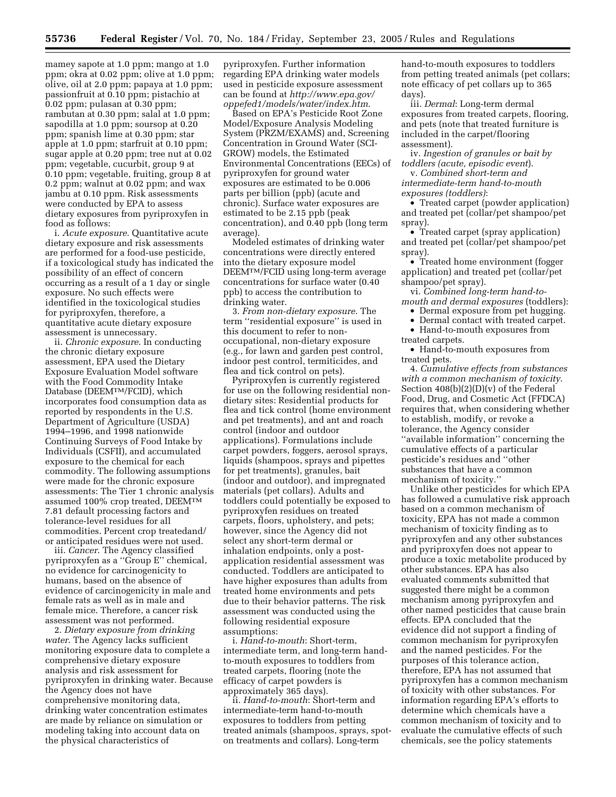mamey sapote at 1.0 ppm; mango at 1.0 ppm; okra at 0.02 ppm; olive at 1.0 ppm; olive, oil at 2.0 ppm; papaya at 1.0 ppm; passionfruit at 0.10 ppm; pistachio at 0.02 ppm; pulasan at 0.30 ppm; rambutan at 0.30 ppm; salal at 1.0 ppm; sapodilla at 1.0 ppm; soursop at 0.20 ppm; spanish lime at 0.30 ppm; star apple at 1.0 ppm; starfruit at 0.10 ppm; sugar apple at 0.20 ppm; tree nut at 0.02 ppm; vegetable, cucurbit, group 9 at 0.10 ppm; vegetable, fruiting, group 8 at 0.2 ppm; walnut at 0.02 ppm; and wax jambu at 0.10 ppm. Risk assessments were conducted by EPA to assess dietary exposures from pyriproxyfen in food as follows:

i. *Acute exposure*. Quantitative acute dietary exposure and risk assessments are performed for a food-use pesticide, if a toxicological study has indicated the possibility of an effect of concern occurring as a result of a 1 day or single exposure. No such effects were identified in the toxicological studies for pyriproxyfen, therefore, a quantitative acute dietary exposure assessment is unnecessary.

ii. *Chronic exposure*. In conducting the chronic dietary exposure assessment, EPA used the Dietary Exposure Evaluation Model software with the Food Commodity Intake Database (DEEMTM/FCID), which incorporates food consumption data as reported by respondents in the U.S. Department of Agriculture (USDA) 1994–1996, and 1998 nationwide Continuing Surveys of Food Intake by Individuals (CSFII), and accumulated exposure to the chemical for each commodity. The following assumptions were made for the chronic exposure assessments: The Tier 1 chronic analysis assumed 100% crop treated, DEEMTM 7.81 default processing factors and tolerance-level residues for all commodities. Percent crop treatedand/ or anticipated residues were not used.

iii. *Cancer*. The Agency classified pyriproxyfen as a ''Group E'' chemical, no evidence for carcinogenicity to humans, based on the absence of evidence of carcinogenicity in male and female rats as well as in male and female mice. Therefore, a cancer risk assessment was not performed.

2. *Dietary exposure from drinking water*. The Agency lacks sufficient monitoring exposure data to complete a comprehensive dietary exposure analysis and risk assessment for pyriproxyfen in drinking water. Because the Agency does not have comprehensive monitoring data, drinking water concentration estimates are made by reliance on simulation or modeling taking into account data on the physical characteristics of

pyriproxyfen. Further information regarding EPA drinking water models used in pesticide exposure assessment can be found at *http://www.epa.gov/ oppefed1/models/water/index.htm*.

Based on EPA's Pesticide Root Zone Model/Exposure Analysis Modeling System (PRZM/EXAMS) and, Screening Concentration in Ground Water (SCI-GROW) models, the Estimated Environmental Concentrations (EECs) of pyriproxyfen for ground water exposures are estimated to be 0.006 parts per billion (ppb) (acute and chronic). Surface water exposures are estimated to be 2.15 ppb (peak concentration), and 0.40 ppb (long term average).

Modeled estimates of drinking water concentrations were directly entered into the dietary exposure model DEEMTM/FCID using long-term average concentrations for surface water (0.40 ppb) to access the contribution to drinking water.

3. *From non-dietary exposure*. The term ''residential exposure'' is used in this document to refer to nonoccupational, non-dietary exposure (e.g., for lawn and garden pest control, indoor pest control, termiticides, and flea and tick control on pets).

Pyriproxyfen is currently registered for use on the following residential nondietary sites: Residential products for flea and tick control (home environment and pet treatments), and ant and roach control (indoor and outdoor applications). Formulations include carpet powders, foggers, aerosol sprays, liquids (shampoos, sprays and pipettes for pet treatments), granules, bait (indoor and outdoor), and impregnated materials (pet collars). Adults and toddlers could potentially be exposed to pyriproxyfen residues on treated carpets, floors, upholstery, and pets; however, since the Agency did not select any short-term dermal or inhalation endpoints, only a postapplication residential assessment was conducted. Toddlers are anticipated to have higher exposures than adults from treated home environments and pets due to their behavior patterns. The risk assessment was conducted using the following residential exposure assumptions:

i. *Hand-to-mouth*: Short-term, intermediate term, and long-term handto-mouth exposures to toddlers from treated carpets, flooring (note the efficacy of carpet powders is approximately 365 days).

ii. *Hand-to-mouth*: Short-term and intermediate-term hand-to-mouth exposures to toddlers from petting treated animals (shampoos, sprays, spoton treatments and collars). Long-term

hand-to-mouth exposures to toddlers from petting treated animals (pet collars; note efficacy of pet collars up to 365 days).

iii. *Dermal*: Long-term dermal exposures from treated carpets, flooring, and pets (note that treated furniture is included in the carpet/flooring assessment).

iv. *Ingestion of granules or bait by toddlers (acute, episodic event*).

v. *Combined short-term and intermediate-term hand-to-mouth exposures (toddlers)*:

• Treated carpet (powder application) and treated pet (collar/pet shampoo/pet spray).

• Treated carpet (spray application) and treated pet (collar/pet shampoo/pet spray).

• Treated home environment (fogger application) and treated pet (collar/pet shampoo/pet spray).

vi. *Combined long-term hand-tomouth and dermal exposures* (toddlers):

• Dermal exposure from pet hugging.

• Dermal contact with treated carpet.

• Hand-to-mouth exposures from

treated carpets.

• Hand-to-mouth exposures from treated pets.

4. *Cumulative effects from substances with a common mechanism of toxicity*. Section 408(b)(2)(D)(v) of the Federal Food, Drug, and Cosmetic Act (FFDCA) requires that, when considering whether to establish, modify, or revoke a tolerance, the Agency consider ''available information'' concerning the cumulative effects of a particular pesticide's residues and ''other substances that have a common mechanism of toxicity.''

Unlike other pesticides for which EPA has followed a cumulative risk approach based on a common mechanism of toxicity, EPA has not made a common mechanism of toxicity finding as to pyriproxyfen and any other substances and pyriproxyfen does not appear to produce a toxic metabolite produced by other substances. EPA has also evaluated comments submitted that suggested there might be a common mechanism among pyriproxyfen and other named pesticides that cause brain effects. EPA concluded that the evidence did not support a finding of common mechanism for pyriproxyfen and the named pesticides. For the purposes of this tolerance action, therefore, EPA has not assumed that pyriproxyfen has a common mechanism of toxicity with other substances. For information regarding EPA's efforts to determine which chemicals have a common mechanism of toxicity and to evaluate the cumulative effects of such chemicals, see the policy statements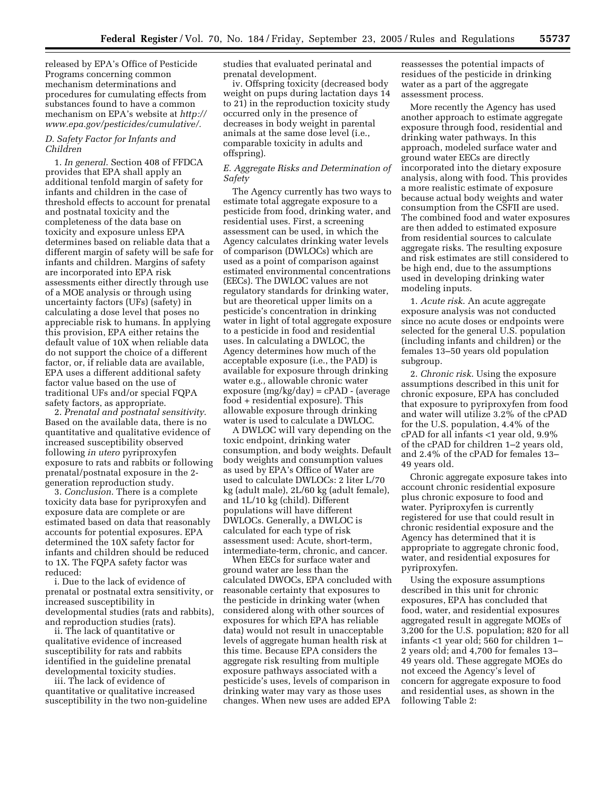released by EPA's Office of Pesticide Programs concerning common mechanism determinations and procedures for cumulating effects from substances found to have a common mechanism on EPA's website at *http:// www.epa.gov/pesticides/cumulative/.* 

# *D. Safety Factor for Infants and Children*

1. *In general*. Section 408 of FFDCA provides that EPA shall apply an additional tenfold margin of safety for infants and children in the case of threshold effects to account for prenatal and postnatal toxicity and the completeness of the data base on toxicity and exposure unless EPA determines based on reliable data that a different margin of safety will be safe for infants and children. Margins of safety are incorporated into EPA risk assessments either directly through use of a MOE analysis or through using uncertainty factors (UFs) (safety) in calculating a dose level that poses no appreciable risk to humans. In applying this provision, EPA either retains the default value of 10X when reliable data do not support the choice of a different factor, or, if reliable data are available, EPA uses a different additional safety factor value based on the use of traditional UFs and/or special FQPA safety factors, as appropriate.

2. *Prenatal and postnatal sensitivity*. Based on the available data, there is no quantitative and qualitative evidence of increased susceptibility observed following *in utero* pyriproxyfen exposure to rats and rabbits or following prenatal/postnatal exposure in the 2 generation reproduction study.

3. *Conclusion*. There is a complete toxicity data base for pyriproxyfen and exposure data are complete or are estimated based on data that reasonably accounts for potential exposures. EPA determined the 10X safety factor for infants and children should be reduced to 1X. The FQPA safety factor was reduced:

i. Due to the lack of evidence of prenatal or postnatal extra sensitivity, or increased susceptibility in developmental studies (rats and rabbits), and reproduction studies (rats).

ii. The lack of quantitative or qualitative evidence of increased susceptibility for rats and rabbits identified in the guideline prenatal developmental toxicity studies.

iii. The lack of evidence of quantitative or qualitative increased susceptibility in the two non-guideline studies that evaluated perinatal and prenatal development.

iv. Offspring toxicity (decreased body weight on pups during lactation days 14 to 21) in the reproduction toxicity study occurred only in the presence of decreases in body weight in parental animals at the same dose level (i.e., comparable toxicity in adults and offspring).

#### *E. Aggregate Risks and Determination of Safety*

The Agency currently has two ways to estimate total aggregate exposure to a pesticide from food, drinking water, and residential uses. First, a screening assessment can be used, in which the Agency calculates drinking water levels of comparison (DWLOCs) which are used as a point of comparison against estimated environmental concentrations (EECs). The DWLOC values are not regulatory standards for drinking water, but are theoretical upper limits on a pesticide's concentration in drinking water in light of total aggregate exposure to a pesticide in food and residential uses. In calculating a DWLOC, the Agency determines how much of the acceptable exposure (i.e., the PAD) is available for exposure through drinking water e.g., allowable chronic water exposure (mg/kg/day) = cPAD - (average food + residential exposure). This allowable exposure through drinking water is used to calculate a DWLOC.

A DWLOC will vary depending on the toxic endpoint, drinking water consumption, and body weights. Default body weights and consumption values as used by EPA's Office of Water are used to calculate DWLOCs: 2 liter L/70 kg (adult male), 2L/60 kg (adult female), and 1L/10 kg (child). Different populations will have different DWLOCs. Generally, a DWLOC is calculated for each type of risk assessment used: Acute, short-term, intermediate-term, chronic, and cancer.

When EECs for surface water and ground water are less than the calculated DWOCs, EPA concluded with reasonable certainty that exposures to the pesticide in drinking water (when considered along with other sources of exposures for which EPA has reliable data) would not result in unacceptable levels of aggregate human health risk at this time. Because EPA considers the aggregate risk resulting from multiple exposure pathways associated with a pesticide's uses, levels of comparison in drinking water may vary as those uses changes. When new uses are added EPA

reassesses the potential impacts of residues of the pesticide in drinking water as a part of the aggregate assessment process.

More recently the Agency has used another approach to estimate aggregate exposure through food, residential and drinking water pathways. In this approach, modeled surface water and ground water EECs are directly incorporated into the dietary exposure analysis, along with food. This provides a more realistic estimate of exposure because actual body weights and water consumption from the CSFII are used. The combined food and water exposures are then added to estimated exposure from residential sources to calculate aggregate risks. The resulting exposure and risk estimates are still considered to be high end, due to the assumptions used in developing drinking water modeling inputs.

1. *Acute risk*. An acute aggregate exposure analysis was not conducted since no acute doses or endpoints were selected for the general U.S. population (including infants and children) or the females 13–50 years old population subgroup.

2. *Chronic risk*. Using the exposure assumptions described in this unit for chronic exposure, EPA has concluded that exposure to pyriproxyfen from food and water will utilize 3.2% of the cPAD for the U.S. population, 4.4% of the cPAD for all infants <1 year old, 9.9% of the cPAD for children 1–2 years old, and 2.4% of the cPAD for females 13– 49 years old.

Chronic aggregate exposure takes into account chronic residential exposure plus chronic exposure to food and water. Pyriproxyfen is currently registered for use that could result in chronic residential exposure and the Agency has determined that it is appropriate to aggregate chronic food, water, and residential exposures for pyriproxyfen.

Using the exposure assumptions described in this unit for chronic exposures, EPA has concluded that food, water, and residential exposures aggregated result in aggregate MOEs of 3,200 for the U.S. population; 820 for all infants <1 year old; 560 for children 1– 2 years old; and 4,700 for females 13– 49 years old. These aggregate MOEs do not exceed the Agency's level of concern for aggregate exposure to food and residential uses, as shown in the following Table 2: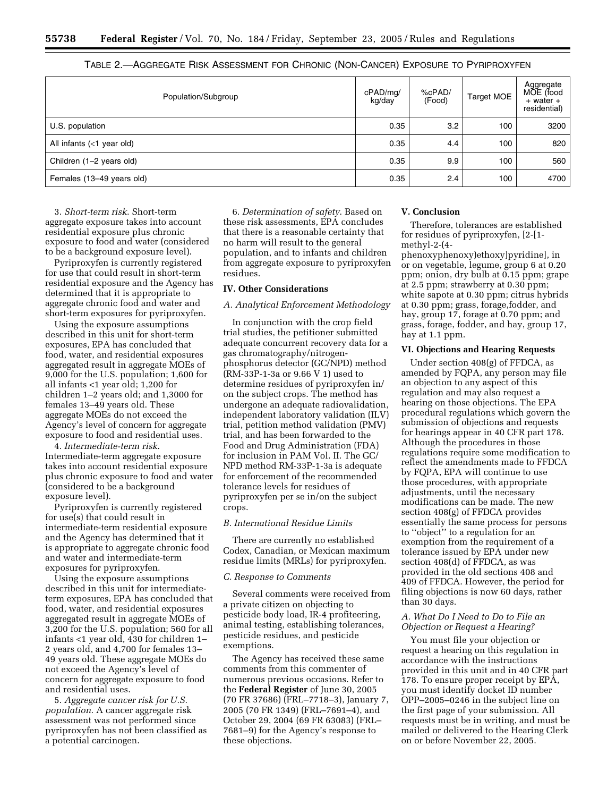| Population/Subgroup         | cPAD/mg/<br>kg/day | %cPAD/<br>(Food) | Target MOE | Aggregate<br>MOE (food<br>+ water +<br>residential) |
|-----------------------------|--------------------|------------------|------------|-----------------------------------------------------|
| U.S. population             | 0.35               | 3.2              | 100        | 3200                                                |
| All infants $(<1$ year old) | 0.35               | 4.4              | 100        | 820                                                 |
| Children (1-2 years old)    | 0.35               | 9.9              | 100        | 560                                                 |
| Females (13-49 years old)   | 0.35               | 2.4              | 100        | 4700                                                |

TABLE 2.—AGGREGATE RISK ASSESSMENT FOR CHRONIC (NON-CANCER) EXPOSURE TO PYRIPROXYFEN

3. *Short-term risk*. Short-term aggregate exposure takes into account residential exposure plus chronic exposure to food and water (considered to be a background exposure level).

Pyriproxyfen is currently registered for use that could result in short-term residential exposure and the Agency has determined that it is appropriate to aggregate chronic food and water and short-term exposures for pyriproxyfen.

Using the exposure assumptions described in this unit for short-term exposures, EPA has concluded that food, water, and residential exposures aggregated result in aggregate MOEs of 9,000 for the U.S. population; 1,600 for all infants <1 year old; 1,200 for children 1–2 years old; and 1,3000 for females 13–49 years old. These aggregate MOEs do not exceed the Agency's level of concern for aggregate exposure to food and residential uses.

4. *Intermediate-term risk*. Intermediate-term aggregate exposure takes into account residential exposure plus chronic exposure to food and water (considered to be a background exposure level).

Pyriproxyfen is currently registered for use(s) that could result in intermediate-term residential exposure and the Agency has determined that it is appropriate to aggregate chronic food and water and intermediate-term exposures for pyriproxyfen.

Using the exposure assumptions described in this unit for intermediateterm exposures, EPA has concluded that food, water, and residential exposures aggregated result in aggregate MOEs of 3,200 for the U.S. population; 560 for all infants <1 year old, 430 for children 1– 2 years old, and 4,700 for females 13– 49 years old. These aggregate MOEs do not exceed the Agency's level of concern for aggregate exposure to food and residential uses.

5. *Aggregate cancer risk for U.S. population*. A cancer aggregate risk assessment was not performed since pyriproxyfen has not been classified as a potential carcinogen.

6. *Determination of safety*. Based on these risk assessments, EPA concludes that there is a reasonable certainty that no harm will result to the general population, and to infants and children from aggregate exposure to pyriproxyfen residues.

# **IV. Other Considerations**

# *A. Analytical Enforcement Methodology*

In conjunction with the crop field trial studies, the petitioner submitted adequate concurrent recovery data for a gas chromatography/nitrogenphosphorus detector (GC/NPD) method (RM-33P-1-3a or 9.66 V 1) used to determine residues of pyriproxyfen in/ on the subject crops. The method has undergone an adequate radiovalidation, independent laboratory validation (ILV) trial, petition method validation (PMV) trial, and has been forwarded to the Food and Drug Administration (FDA) for inclusion in PAM Vol. II. The GC/ NPD method RM-33P-1-3a is adequate for enforcement of the recommended tolerance levels for residues of pyriproxyfen per se in/on the subject crops.

#### *B. International Residue Limits*

There are currently no established Codex, Canadian, or Mexican maximum residue limits (MRLs) for pyriproxyfen.

# *C. Response to Comments*

Several comments were received from a private citizen on objecting to pesticide body load, IR-4 profiteering, animal testing, establishing tolerances, pesticide residues, and pesticide exemptions.

The Agency has received these same comments from this commenter of numerous previous occasions. Refer to the **Federal Register** of June 30, 2005 (70 FR 37686) (FRL–7718–3), January 7, 2005 (70 FR 1349) (FRL–7691–4), and October 29, 2004 (69 FR 63083) (FRL– 7681–9) for the Agency's response to these objections.

#### **V. Conclusion**

Therefore, tolerances are established for residues of pyriproxyfen, [2-[1 methyl-2-(4-

phenoxyphenoxy)ethoxy]pyridine], in or on vegetable, legume, group 6 at 0.20 ppm; onion, dry bulb at 0.15 ppm; grape at 2.5 ppm; strawberry at 0.30 ppm; white sapote at 0.30 ppm; citrus hybrids at 0.30 ppm; grass, forage,fodder, and hay, group 17, forage at 0.70 ppm; and grass, forage, fodder, and hay, group 17, hay at 1.1 ppm.

#### **VI. Objections and Hearing Requests**

Under section 408(g) of FFDCA, as amended by FQPA, any person may file an objection to any aspect of this regulation and may also request a hearing on those objections. The EPA procedural regulations which govern the submission of objections and requests for hearings appear in 40 CFR part 178. Although the procedures in those regulations require some modification to reflect the amendments made to FFDCA by FQPA, EPA will continue to use those procedures, with appropriate adjustments, until the necessary modifications can be made. The new section 408(g) of FFDCA provides essentially the same process for persons to ''object'' to a regulation for an exemption from the requirement of a tolerance issued by EPA under new section 408(d) of FFDCA, as was provided in the old sections 408 and 409 of FFDCA. However, the period for filing objections is now 60 days, rather than 30 days.

# *A. What Do I Need to Do to File an Objection or Request a Hearing?*

You must file your objection or request a hearing on this regulation in accordance with the instructions provided in this unit and in 40 CFR part 178. To ensure proper receipt by EPA, you must identify docket ID number OPP–2005–0246 in the subject line on the first page of your submission. All requests must be in writing, and must be mailed or delivered to the Hearing Clerk on or before November 22, 2005.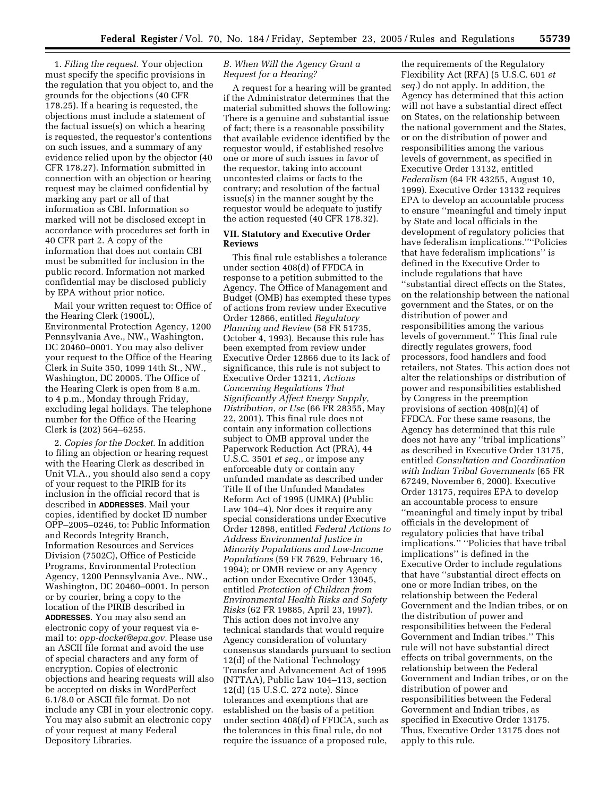1. *Filing the request*. Your objection must specify the specific provisions in the regulation that you object to, and the grounds for the objections (40 CFR 178.25). If a hearing is requested, the objections must include a statement of the factual issue(s) on which a hearing is requested, the requestor's contentions on such issues, and a summary of any evidence relied upon by the objector (40 CFR 178.27). Information submitted in connection with an objection or hearing request may be claimed confidential by marking any part or all of that information as CBI. Information so marked will not be disclosed except in accordance with procedures set forth in 40 CFR part 2. A copy of the information that does not contain CBI must be submitted for inclusion in the public record. Information not marked confidential may be disclosed publicly by EPA without prior notice.

Mail your written request to: Office of the Hearing Clerk (1900L), Environmental Protection Agency, 1200 Pennsylvania Ave., NW., Washington, DC 20460–0001. You may also deliver your request to the Office of the Hearing Clerk in Suite 350, 1099 14th St., NW., Washington, DC 20005. The Office of the Hearing Clerk is open from 8 a.m. to 4 p.m., Monday through Friday, excluding legal holidays. The telephone number for the Office of the Hearing Clerk is (202) 564–6255.

2. *Copies for the Docket*. In addition to filing an objection or hearing request with the Hearing Clerk as described in Unit VI.A., you should also send a copy of your request to the PIRIB for its inclusion in the official record that is described in **ADDRESSES**. Mail your copies, identified by docket ID number OPP–2005–0246, to: Public Information and Records Integrity Branch, Information Resources and Services Division (7502C), Office of Pesticide Programs, Environmental Protection Agency, 1200 Pennsylvania Ave., NW., Washington, DC 20460–0001. In person or by courier, bring a copy to the location of the PIRIB described in **ADDRESSES**. You may also send an electronic copy of your request via email to: *opp-docket@epa.gov*. Please use an ASCII file format and avoid the use of special characters and any form of encryption. Copies of electronic objections and hearing requests will also be accepted on disks in WordPerfect 6.1/8.0 or ASCII file format. Do not include any CBI in your electronic copy. You may also submit an electronic copy of your request at many Federal Depository Libraries.

# *B. When Will the Agency Grant a Request for a Hearing?*

A request for a hearing will be granted if the Administrator determines that the material submitted shows the following: There is a genuine and substantial issue of fact; there is a reasonable possibility that available evidence identified by the requestor would, if established resolve one or more of such issues in favor of the requestor, taking into account uncontested claims or facts to the contrary; and resolution of the factual issue(s) in the manner sought by the requestor would be adequate to justify the action requested (40 CFR 178.32).

# **VII. Statutory and Executive Order Reviews**

This final rule establishes a tolerance under section 408(d) of FFDCA in response to a petition submitted to the Agency. The Office of Management and Budget (OMB) has exempted these types of actions from review under Executive Order 12866, entitled *Regulatory Planning and Review* (58 FR 51735, October 4, 1993). Because this rule has been exempted from review under Executive Order 12866 due to its lack of significance, this rule is not subject to Executive Order 13211, *Actions Concerning Regulations That Significantly Affect Energy Supply, Distribution, or Use* (66 FR 28355, May 22, 2001). This final rule does not contain any information collections subject to OMB approval under the Paperwork Reduction Act (PRA), 44 U.S.C. 3501 *et seq.*, or impose any enforceable duty or contain any unfunded mandate as described under Title II of the Unfunded Mandates Reform Act of 1995 (UMRA) (Public Law 104–4). Nor does it require any special considerations under Executive Order 12898, entitled *Federal Actions to Address Environmental Justice in Minority Populations and Low-Income Populations* (59 FR 7629, February 16, 1994); or OMB review or any Agency action under Executive Order 13045, entitled *Protection of Children from Environmental Health Risks and Safety Risks* (62 FR 19885, April 23, 1997). This action does not involve any technical standards that would require Agency consideration of voluntary consensus standards pursuant to section 12(d) of the National Technology Transfer and Advancement Act of 1995 (NTTAA), Public Law 104–113, section 12(d) (15 U.S.C. 272 note). Since tolerances and exemptions that are established on the basis of a petition under section 408(d) of FFDCA, such as the tolerances in this final rule, do not require the issuance of a proposed rule,

the requirements of the Regulatory Flexibility Act (RFA) (5 U.S.C. 601 *et seq.*) do not apply. In addition, the Agency has determined that this action will not have a substantial direct effect on States, on the relationship between the national government and the States, or on the distribution of power and responsibilities among the various levels of government, as specified in Executive Order 13132, entitled *Federalism* (64 FR 43255, August 10, 1999). Executive Order 13132 requires EPA to develop an accountable process to ensure ''meaningful and timely input by State and local officials in the development of regulatory policies that have federalism implications.''''Policies that have federalism implications'' is defined in the Executive Order to include regulations that have ''substantial direct effects on the States, on the relationship between the national government and the States, or on the distribution of power and responsibilities among the various levels of government.'' This final rule directly regulates growers, food processors, food handlers and food retailers, not States. This action does not alter the relationships or distribution of power and responsibilities established by Congress in the preemption provisions of section 408(n)(4) of FFDCA. For these same reasons, the Agency has determined that this rule does not have any ''tribal implications'' as described in Executive Order 13175, entitled *Consultation and Coordination with Indian Tribal Governments* (65 FR 67249, November 6, 2000). Executive Order 13175, requires EPA to develop an accountable process to ensure ''meaningful and timely input by tribal officials in the development of regulatory policies that have tribal implications.'' ''Policies that have tribal implications'' is defined in the Executive Order to include regulations that have ''substantial direct effects on one or more Indian tribes, on the relationship between the Federal Government and the Indian tribes, or on the distribution of power and responsibilities between the Federal Government and Indian tribes.'' This rule will not have substantial direct effects on tribal governments, on the relationship between the Federal Government and Indian tribes, or on the distribution of power and responsibilities between the Federal Government and Indian tribes, as specified in Executive Order 13175. Thus, Executive Order 13175 does not apply to this rule.